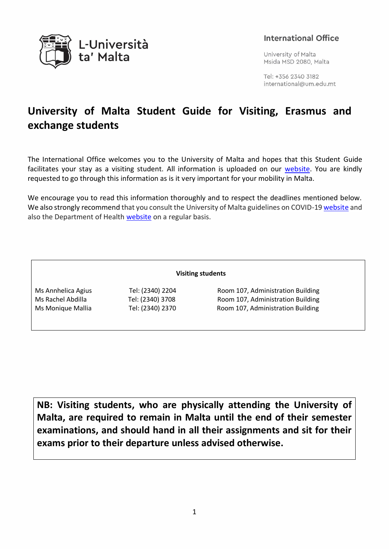

# **International Office**

University of Malta Msida MSD 2080, Malta

Tel: +356 2340 3182 international@um.edu.mt

# **University of Malta Student Guide for Visiting, Erasmus and exchange students**

The International Office welcomes you to the University of Malta and hopes that this Student Guide facilitates your stay as a visiting student. All information is uploaded on our [website.](https://www.um.edu.mt/international/students/orientationsessions) You are kindly requested to go through this information as is it very important for your mobility in Malta.

We encourage you to read this information thoroughly and to respect the deadlines mentioned below. We also strongly recommend that you consult the University of Malta guidelines on COVID-19 [website](https://www.um.edu.mt/services/covid-19adviceguidelines) and also the Department of Health [website](https://deputyprimeminister.gov.mt/en/health-promotion/covid-19/Pages/landing-page.aspx) on a regular basis.

#### **Visiting students**

Ms Annhelica Agius Tel: (2340) 2204 Room 107, Administration Building Ms Rachel Abdilla Tel: (2340) 3708 Room 107, Administration Building Ms Monique Mallia Tel: (2340) 2370 Room 107, Administration Building

**NB: Visiting students, who are physically attending the University of Malta, are required to remain in Malta until the end of their semester examinations, and should hand in all their assignments and sit for their exams prior to their departure unless advised otherwise.**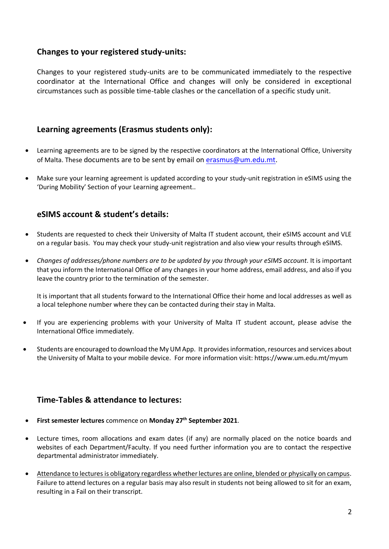## **Changes to your registered study-units:**

Changes to your registered study-units are to be communicated immediately to the respective coordinator at the International Office and changes will only be considered in exceptional circumstances such as possible time-table clashes or the cancellation of a specific study unit.

## **Learning agreements (Erasmus students only):**

- Learning agreements are to be signed by the respective coordinators at the International Office, University of Malta. These documents are to be sent by email on [erasmus@um.edu.mt.](mailto:erasmus@um.edu.mt)
- Make sure your learning agreement is updated according to your study-unit registration in eSIMS using the 'During Mobility' Section of your Learning agreement..

## **eSIMS account & student's details:**

- Students are requested to check their University of Malta IT student account, their eSIMS account and VLE on a regular basis. You may check your study-unit registration and also view your results through eSIMS.
- *Changes of addresses/phone numbers are to be updated by you through your eSIMS account*. It is important that you inform the International Office of any changes in your home address, email address, and also if you leave the country prior to the termination of the semester.

It is important that all students forward to the International Office their home and local addresses as well as a local telephone number where they can be contacted during their stay in Malta.

- If you are experiencing problems with your University of Malta IT student account, please advise the International Office immediately.
- Students are encouraged to download the My UM App. It provides information, resources and services about the University of Malta to your mobile device. For more information visit: https://www.um.edu.mt/myum

## **Time-Tables & attendance to lectures:**

- **First semester lectures** commence on **Monday 27 th September 2021**.
- Lecture times, room allocations and exam dates (if any) are normally placed on the notice boards and websites of each Department/Faculty. If you need further information you are to contact the respective departmental administrator immediately.
- Attendance to lectures is obligatory regardless whether lectures are online, blended or physically on campus. Failure to attend lectures on a regular basis may also result in students not being allowed to sit for an exam, resulting in a Fail on their transcript.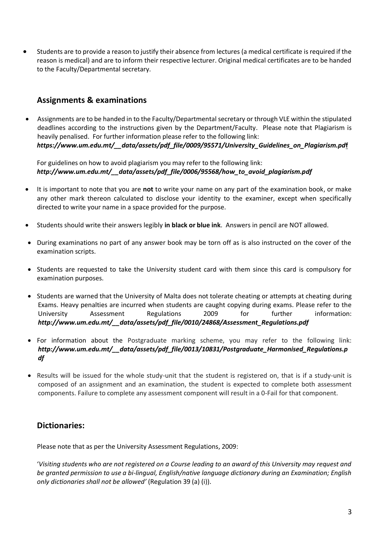• Students are to provide a reason to justify their absence from lectures (a medical certificate is required if the reason is medical) and are to inform their respective lecturer. Original medical certificates are to be handed to the Faculty/Departmental secretary.

## **Assignments & examinations**

• Assignments are to be handed in to the Faculty/Departmental secretary or through VLE within the stipulated deadlines according to the instructions given by the Department/Faculty. Please note that Plagiarism is heavily penalised. For further information please refer to the following link: *[https://www.um.edu.mt/\\_\\_data/assets/pdf\\_file/0009/95571/University\\_Guidelines\\_on\\_Plagiarism.pd](https://www.um.edu.mt/__data/assets/pdf_file/0009/95571/University_Guidelines_on_Plagiarism.pdf)***f**

For guidelines on how to avoid plagiarism you may refer to the following link: *[http://www.um.edu.mt/\\_\\_data/assets/pdf\\_file/0006/95568/how\\_to\\_avoid\\_plagiarism.pdf](http://www.um.edu.mt/__data/assets/pdf_file/0006/95568/how_to_avoid_plagiarism.pdf)*

- It is important to note that you are **not** to write your name on any part of the examination book, or make any other mark thereon calculated to disclose your identity to the examiner, except when specifically directed to write your name in a space provided for the purpose.
- Students should write their answers legibly **in black or blue ink**. Answers in pencil are NOT allowed.
- During examinations no part of any answer book may be torn off as is also instructed on the cover of the examination scripts.
- Students are requested to take the University student card with them since this card is compulsory for examination purposes.
- Students are warned that the University of Malta does not tolerate cheating or attempts at cheating during Exams. Heavy penalties are incurred when students are caught copying during exams. Please refer to the University Assessment Regulations 2009 for further information: *[http://www.um.edu.mt/\\_\\_data/assets/pdf\\_file/0010/24868/Assessment\\_Regulations.pdf](http://www.um.edu.mt/__data/assets/pdf_file/0010/24868/Assessment_Regulations.pdf)*
- For information about the Postgraduate marking scheme, you may refer to the following link: *[http://www.um.edu.mt/\\_\\_data/assets/pdf\\_file/0013/10831/Postgraduate\\_Harmonised\\_Regulations.p](http://www.um.edu.mt/__data/assets/pdf_file/0013/10831/Postgraduate_Harmonised_Regulations.pdf) [df](http://www.um.edu.mt/__data/assets/pdf_file/0013/10831/Postgraduate_Harmonised_Regulations.pdf)*
- Results will be issued for the whole study-unit that the student is registered on, that is if a study-unit is composed of an assignment and an examination, the student is expected to complete both assessment components. Failure to complete any assessment component will result in a 0-Fail for that component.

## **Dictionaries:**

Please note that as per the University Assessment Regulations, 2009:

'*Visiting students who are not registered on a Course leading to an award of this University may request and be granted permission to use a bi-lingual, English/native language dictionary during an Examination; English only dictionaries shall not be allowed'* (Regulation 39 (a) (i)).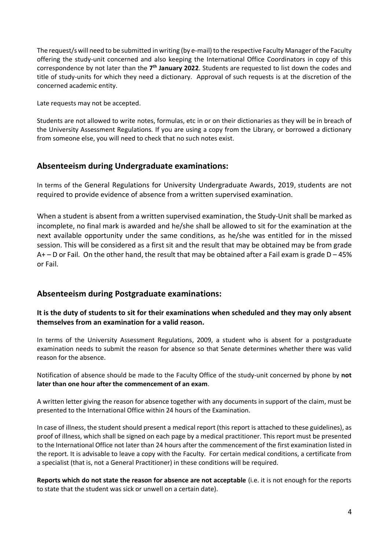The request/s will need to be submitted in writing (by e-mail) to the respective Faculty Manager of the Faculty offering the study-unit concerned and also keeping the International Office Coordinators in copy of this correspondence by not later than the 7<sup>th</sup> January 2022. Students are requested to list down the codes and title of study-units for which they need a dictionary. Approval of such requests is at the discretion of the concerned academic entity.

Late requests may not be accepted.

Students are not allowed to write notes, formulas, etc in or on their dictionaries as they will be in breach of the University Assessment Regulations. If you are using a copy from the Library, or borrowed a dictionary from someone else, you will need to check that no such notes exist.

## **Absenteeism during Undergraduate examinations:**

In terms of the General Regulations for University Undergraduate Awards, 2019, students are not required to provide evidence of absence from a written supervised examination.

When a student is absent from a written supervised examination, the Study-Unit shall be marked as incomplete, no final mark is awarded and he/she shall be allowed to sit for the examination at the next available opportunity under the same conditions, as he/she was entitled for in the missed session. This will be considered as a first sit and the result that may be obtained may be from grade  $A+$  – D or Fail. On the other hand, the result that may be obtained after a Fail exam is grade D – 45% or Fail.

## **Absenteeism during Postgraduate examinations:**

## **It is the duty of students to sit for their examinations when scheduled and they may only absent themselves from an examination for a valid reason.**

In terms of the University Assessment Regulations, 2009, a student who is absent for a postgraduate examination needs to submit the reason for absence so that Senate determines whether there was valid reason for the absence.

Notification of absence should be made to the Faculty Office of the study-unit concerned by phone by **not later than one hour after the commencement of an exam**.

A written letter giving the reason for absence together with any documents in support of the claim, must be presented to the International Office within 24 hours of the Examination.

In case of illness, the student should present a medical report (this report is attached to these guidelines), as proof of illness, which shall be signed on each page by a medical practitioner. This report must be presented to the International Office not later than 24 hours after the commencement of the first examination listed in the report. It is advisable to leave a copy with the Faculty. For certain medical conditions, a certificate from a specialist (that is, not a General Practitioner) in these conditions will be required.

**Reports which do not state the reason for absence are not acceptable** (i.e. it is not enough for the reports to state that the student was sick or unwell on a certain date).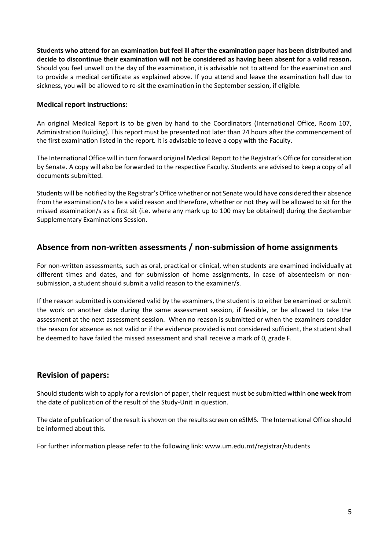**Students who attend for an examination but feel ill after the examination paper has been distributed and decide to discontinue their examination will not be considered as having been absent for a valid reason.** Should you feel unwell on the day of the examination, it is advisable not to attend for the examination and to provide a medical certificate as explained above. If you attend and leave the examination hall due to sickness, you will be allowed to re-sit the examination in the September session, if eligible.

### **Medical report instructions:**

An original Medical Report is to be given by hand to the Coordinators (International Office, Room 107, Administration Building). This report must be presented not later than 24 hours after the commencement of the first examination listed in the report. It is advisable to leave a copy with the Faculty.

The International Office will in turn forward original Medical Reportto the Registrar's Office for consideration by Senate. A copy will also be forwarded to the respective Faculty. Students are advised to keep a copy of all documents submitted.

Students will be notified by the Registrar's Office whether or not Senate would have considered their absence from the examination/s to be a valid reason and therefore, whether or not they will be allowed to sit for the missed examination/s as a first sit (i.e. where any mark up to 100 may be obtained) during the September Supplementary Examinations Session.

## **Absence from non-written assessments / non-submission of home assignments**

For non-written assessments, such as oral, practical or clinical, when students are examined individually at different times and dates, and for submission of home assignments, in case of absenteeism or nonsubmission, a student should submit a valid reason to the examiner/s.

If the reason submitted is considered valid by the examiners, the student is to either be examined or submit the work on another date during the same assessment session, if feasible, or be allowed to take the assessment at the next assessment session. When no reason is submitted or when the examiners consider the reason for absence as not valid or if the evidence provided is not considered sufficient, the student shall be deemed to have failed the missed assessment and shall receive a mark of 0, grade F.

## **Revision of papers:**

Should students wish to apply for a revision of paper, their request must be submitted within **one week** from the date of publication of the result of the Study-Unit in question.

The date of publication of the result is shown on the results screen on eSIMS. The International Office should be informed about this.

For further information please refer to the following link: www.um.edu.mt/registrar/students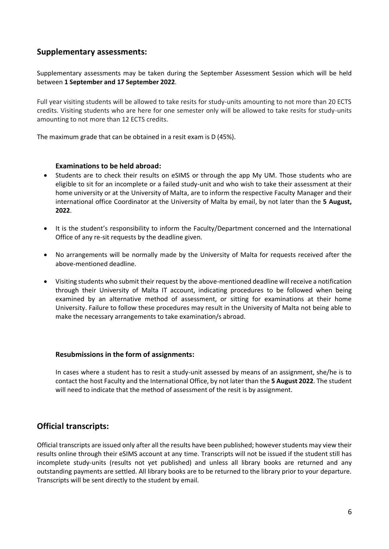## **Supplementary assessments:**

Supplementary assessments may be taken during the September Assessment Session which will be held between **1 September and 17 September 2022**.

Full year visiting students will be allowed to take resits for study-units amounting to not more than 20 ECTS credits. Visiting students who are here for one semester only will be allowed to take resits for study-units amounting to not more than 12 ECTS credits.

The maximum grade that can be obtained in a resit exam is D (45%).

#### **Examinations to be held abroad:**

- Students are to check their results on eSIMS or through the app My UM. Those students who are eligible to sit for an incomplete or a failed study-unit and who wish to take their assessment at their home university or at the University of Malta, are to inform the respective Faculty Manager and their international office Coordinator at the University of Malta by email, by not later than the **5 August, 2022**.
- It is the student's responsibility to inform the Faculty/Department concerned and the International Office of any re-sit requests by the deadline given.
- No arrangements will be normally made by the University of Malta for requests received after the above-mentioned deadline.
- Visiting students who submit their request by the above-mentioned deadline will receive a notification through their University of Malta IT account, indicating procedures to be followed when being examined by an alternative method of assessment, or sitting for examinations at their home University. Failure to follow these procedures may result in the University of Malta not being able to make the necessary arrangements to take examination/s abroad.

#### **Resubmissions in the form of assignments:**

In cases where a student has to resit a study-unit assessed by means of an assignment, she/he is to contact the host Faculty and the International Office, by not later than the **5 August 2022**. The student will need to indicate that the method of assessment of the resit is by assignment.

## **Official transcripts:**

Official transcripts are issued only after all the results have been published; however students may view their results online through their eSIMS account at any time. Transcripts will not be issued if the student still has incomplete study-units (results not yet published) and unless all library books are returned and any outstanding payments are settled. All library books are to be returned to the library prior to your departure. Transcripts will be sent directly to the student by email.